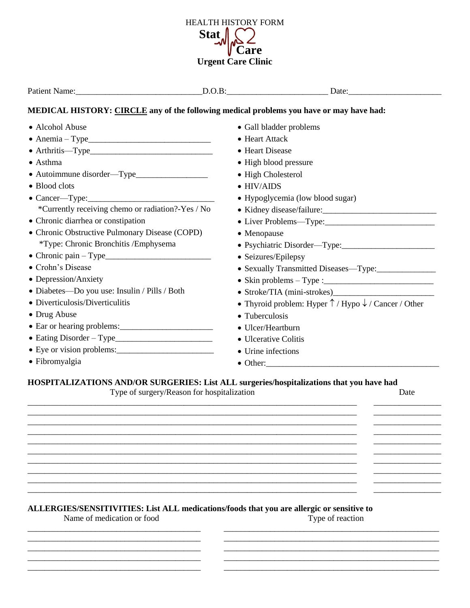

| MEDICAL HISTORY: CIRCLE any of the following medical problems you have or may have had: |                    |                                                                          |  |
|-----------------------------------------------------------------------------------------|--------------------|--------------------------------------------------------------------------|--|
| • Alcohol Abuse                                                                         |                    | • Gall bladder problems                                                  |  |
|                                                                                         |                    | • Heart Attack                                                           |  |
|                                                                                         |                    | • Heart Disease                                                          |  |
| • Asthma                                                                                |                    | • High blood pressure                                                    |  |
|                                                                                         |                    | • High Cholesterol                                                       |  |
| • Blood clots                                                                           | $\bullet$ HIV/AIDS |                                                                          |  |
| $\bullet$ Cancer—Type:                                                                  |                    | · Hypoglycemia (low blood sugar)                                         |  |
| *Currently receiving chemo or radiation?-Yes / No                                       |                    |                                                                          |  |
| • Chronic diarrhea or constipation                                                      |                    |                                                                          |  |
| • Chronic Obstructive Pulmonary Disease (COPD)                                          | • Menopause        |                                                                          |  |
| *Type: Chronic Bronchitis /Emphysema                                                    |                    |                                                                          |  |
|                                                                                         |                    | • Seizures/Epilepsy                                                      |  |
| • Crohn's Disease                                                                       |                    | · Sexually Transmitted Diseases-Type:                                    |  |
| • Depression/Anxiety                                                                    |                    |                                                                          |  |
| • Diabetes-Do you use: Insulin / Pills / Both                                           |                    |                                                                          |  |
| • Diverticulosis/Diverticulitis                                                         |                    | • Thyroid problem: Hyper $\uparrow$ / Hypo $\downarrow$ / Cancer / Other |  |
| • Drug Abuse                                                                            | • Tuberculosis     |                                                                          |  |
|                                                                                         |                    | • Ulcer/Heartburn                                                        |  |
|                                                                                         |                    | • Ulcerative Colitis                                                     |  |
|                                                                                         |                    | • Urine infections                                                       |  |
| • Fibromyalgia                                                                          |                    | $\bullet$ Other:                                                         |  |

\_\_\_\_\_\_\_\_\_\_\_\_\_\_\_\_\_\_\_\_\_\_\_\_\_\_\_\_\_\_\_\_\_\_\_\_\_\_\_\_\_\_\_\_\_\_\_\_\_\_\_\_\_\_\_\_\_\_\_\_\_\_\_\_\_\_\_\_\_\_\_\_\_\_\_\_\_\_ \_\_\_\_\_\_\_\_\_\_\_\_\_\_\_\_

\_\_\_\_\_\_\_\_\_\_\_\_\_\_\_\_\_\_\_\_\_\_\_\_\_\_\_\_\_\_\_\_\_\_\_\_\_\_\_\_\_\_\_\_\_\_\_\_\_\_\_\_\_\_\_\_\_\_\_\_\_\_\_\_\_\_\_\_\_\_\_\_\_\_\_\_\_\_ \_\_\_\_\_\_\_\_\_\_\_\_\_\_\_\_ \_\_\_\_\_\_\_\_\_\_\_\_\_\_\_\_\_\_\_\_\_\_\_\_\_\_\_\_\_\_\_\_\_\_\_\_\_\_\_\_\_\_\_\_\_\_\_\_\_\_\_\_\_\_\_\_\_\_\_\_\_\_\_\_\_\_\_\_\_\_\_\_\_\_\_\_\_\_ \_\_\_\_\_\_\_\_\_\_\_\_\_\_\_\_ \_\_\_\_\_\_\_\_\_\_\_\_\_\_\_\_\_\_\_\_\_\_\_\_\_\_\_\_\_\_\_\_\_\_\_\_\_\_\_\_\_\_\_\_\_\_\_\_\_\_\_\_\_\_\_\_\_\_\_\_\_\_\_\_\_\_\_\_\_\_\_\_\_\_\_\_\_\_ \_\_\_\_\_\_\_\_\_\_\_\_\_\_\_\_ \_\_\_\_\_\_\_\_\_\_\_\_\_\_\_\_\_\_\_\_\_\_\_\_\_\_\_\_\_\_\_\_\_\_\_\_\_\_\_\_\_\_\_\_\_\_\_\_\_\_\_\_\_\_\_\_\_\_\_\_\_\_\_\_\_\_\_\_\_\_\_\_\_\_\_\_\_\_ \_\_\_\_\_\_\_\_\_\_\_\_\_\_\_\_ \_\_\_\_\_\_\_\_\_\_\_\_\_\_\_\_\_\_\_\_\_\_\_\_\_\_\_\_\_\_\_\_\_\_\_\_\_\_\_\_\_\_\_\_\_\_\_\_\_\_\_\_\_\_\_\_\_\_\_\_\_\_\_\_\_\_\_\_\_\_\_\_\_\_\_\_\_\_ \_\_\_\_\_\_\_\_\_\_\_\_\_\_\_\_ \_\_\_\_\_\_\_\_\_\_\_\_\_\_\_\_\_\_\_\_\_\_\_\_\_\_\_\_\_\_\_\_\_\_\_\_\_\_\_\_\_\_\_\_\_\_\_\_\_\_\_\_\_\_\_\_\_\_\_\_\_\_\_\_\_\_\_\_\_\_\_\_\_\_\_\_\_\_ \_\_\_\_\_\_\_\_\_\_\_\_\_\_\_\_ \_\_\_\_\_\_\_\_\_\_\_\_\_\_\_\_\_\_\_\_\_\_\_\_\_\_\_\_\_\_\_\_\_\_\_\_\_\_\_\_\_\_\_\_\_\_\_\_\_\_\_\_\_\_\_\_\_\_\_\_\_\_\_\_\_\_\_\_\_\_\_\_\_\_\_\_\_\_ \_\_\_\_\_\_\_\_\_\_\_\_\_\_\_\_

\_\_\_\_\_\_\_\_\_\_\_\_\_\_\_\_\_\_\_\_\_\_\_\_\_\_\_\_\_\_\_\_\_\_\_\_\_\_\_\_\_ \_\_\_\_\_\_\_\_\_\_\_\_\_\_\_\_\_\_\_\_\_\_\_\_\_\_\_\_\_\_\_\_\_\_\_\_\_\_\_\_\_\_\_\_\_\_\_\_\_\_\_

 $\_$  ,  $\_$  ,  $\_$  ,  $\_$  ,  $\_$  ,  $\_$  ,  $\_$  ,  $\_$  ,  $\_$  ,  $\_$  ,  $\_$  ,  $\_$  ,  $\_$  ,  $\_$  ,  $\_$  ,  $\_$  ,  $\_$  ,  $\_$  ,  $\_$  ,  $\_$  ,  $\_$  ,  $\_$  ,  $\_$  ,  $\_$  ,  $\_$  ,  $\_$  ,  $\_$  ,  $\_$  ,  $\_$  ,  $\_$  ,  $\_$  ,  $\_$  ,  $\_$  ,  $\_$  ,  $\_$  ,  $\_$  ,  $\_$  , \_\_\_\_\_\_\_\_\_\_\_\_\_\_\_\_\_\_\_\_\_\_\_\_\_\_\_\_\_\_\_\_\_\_\_\_\_\_\_\_\_ \_\_\_\_\_\_\_\_\_\_\_\_\_\_\_\_\_\_\_\_\_\_\_\_\_\_\_\_\_\_\_\_\_\_\_\_\_\_\_\_\_\_\_\_\_\_\_\_\_\_\_ \_\_\_\_\_\_\_\_\_\_\_\_\_\_\_\_\_\_\_\_\_\_\_\_\_\_\_\_\_\_\_\_\_\_\_\_\_\_\_\_\_ \_\_\_\_\_\_\_\_\_\_\_\_\_\_\_\_\_\_\_\_\_\_\_\_\_\_\_\_\_\_\_\_\_\_\_\_\_\_\_\_\_\_\_\_\_\_\_\_\_\_\_

 $\frac{1}{\sqrt{2}}$  ,  $\frac{1}{\sqrt{2}}$  ,  $\frac{1}{\sqrt{2}}$  ,  $\frac{1}{\sqrt{2}}$  ,  $\frac{1}{\sqrt{2}}$  ,  $\frac{1}{\sqrt{2}}$  ,  $\frac{1}{\sqrt{2}}$  ,  $\frac{1}{\sqrt{2}}$  ,  $\frac{1}{\sqrt{2}}$  ,  $\frac{1}{\sqrt{2}}$  ,  $\frac{1}{\sqrt{2}}$  ,  $\frac{1}{\sqrt{2}}$  ,  $\frac{1}{\sqrt{2}}$  ,  $\frac{1}{\sqrt{2}}$  ,  $\frac{1}{\sqrt{2}}$ 

\_\_\_\_\_\_\_\_\_\_\_\_\_\_\_\_\_\_\_\_\_\_\_\_\_\_\_\_\_\_\_\_\_\_\_\_\_\_\_\_\_\_\_\_\_\_\_\_\_\_\_\_\_\_\_\_\_\_\_\_\_\_\_\_\_\_\_\_\_\_\_\_\_\_\_\_\_\_ \_\_\_\_\_\_\_\_\_\_\_\_\_\_\_\_

Type of surgery/Reason for hospitalization Date

**ALLERGIES/SENSITIVITIES: List ALL medications/foods that you are allergic or sensitive to** 

\_\_\_\_\_\_\_\_\_\_\_\_\_\_\_\_\_\_\_\_\_\_\_\_\_\_\_\_\_\_\_\_\_\_\_\_\_\_\_\_\_\_\_\_\_\_\_\_\_\_\_\_\_\_\_\_\_\_\_\_\_\_\_\_\_\_\_\_\_\_\_\_\_\_\_\_\_\_ \_\_\_\_\_\_\_\_\_\_\_\_\_\_\_\_

Name of medication or food Type of reaction